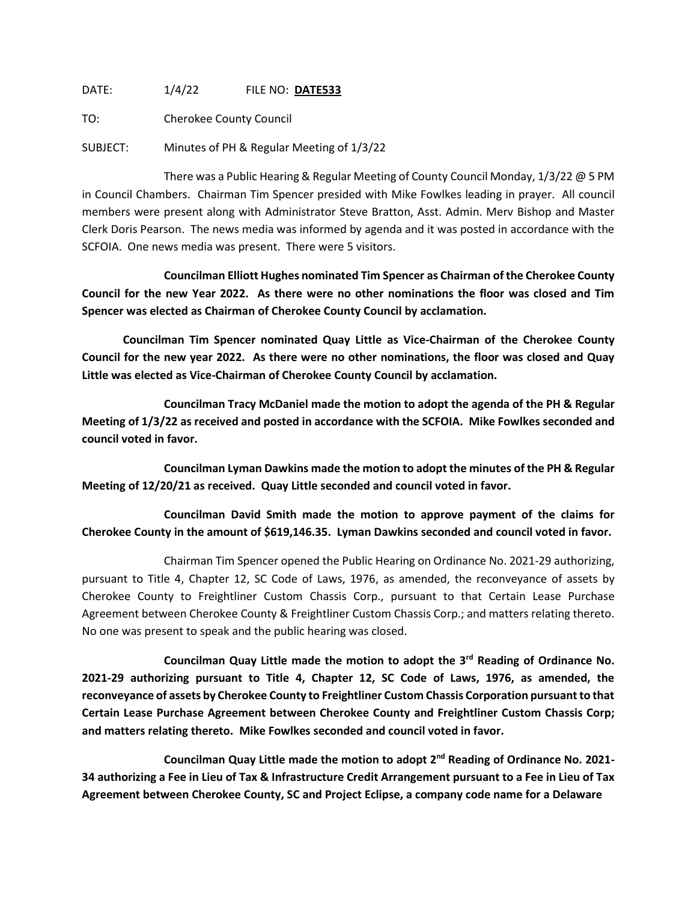DATE: 1/4/22 FILE NO: **DATE533**

TO: Cherokee County Council

SUBJECT: Minutes of PH & Regular Meeting of 1/3/22

There was a Public Hearing & Regular Meeting of County Council Monday, 1/3/22 @ 5 PM in Council Chambers. Chairman Tim Spencer presided with Mike Fowlkes leading in prayer. All council members were present along with Administrator Steve Bratton, Asst. Admin. Merv Bishop and Master Clerk Doris Pearson. The news media was informed by agenda and it was posted in accordance with the SCFOIA. One news media was present. There were 5 visitors.

**Councilman Elliott Hughes nominated Tim Spencer as Chairman of the Cherokee County Council for the new Year 2022. As there were no other nominations the floor was closed and Tim Spencer was elected as Chairman of Cherokee County Council by acclamation.**

**Councilman Tim Spencer nominated Quay Little as Vice-Chairman of the Cherokee County Council for the new year 2022. As there were no other nominations, the floor was closed and Quay Little was elected as Vice-Chairman of Cherokee County Council by acclamation.**

**Councilman Tracy McDaniel made the motion to adopt the agenda of the PH & Regular Meeting of 1/3/22 as received and posted in accordance with the SCFOIA. Mike Fowlkes seconded and council voted in favor.**

**Councilman Lyman Dawkins made the motion to adopt the minutes of the PH & Regular Meeting of 12/20/21 as received. Quay Little seconded and council voted in favor.**

**Councilman David Smith made the motion to approve payment of the claims for Cherokee County in the amount of \$619,146.35. Lyman Dawkins seconded and council voted in favor.**

Chairman Tim Spencer opened the Public Hearing on Ordinance No. 2021-29 authorizing, pursuant to Title 4, Chapter 12, SC Code of Laws, 1976, as amended, the reconveyance of assets by Cherokee County to Freightliner Custom Chassis Corp., pursuant to that Certain Lease Purchase Agreement between Cherokee County & Freightliner Custom Chassis Corp.; and matters relating thereto. No one was present to speak and the public hearing was closed.

**Councilman Quay Little made the motion to adopt the 3rd Reading of Ordinance No. 2021-29 authorizing pursuant to Title 4, Chapter 12, SC Code of Laws, 1976, as amended, the reconveyance of assets by Cherokee County to Freightliner Custom Chassis Corporation pursuant to that Certain Lease Purchase Agreement between Cherokee County and Freightliner Custom Chassis Corp; and matters relating thereto. Mike Fowlkes seconded and council voted in favor.**

**Councilman Quay Little made the motion to adopt 2nd Reading of Ordinance No. 2021- 34 authorizing a Fee in Lieu of Tax & Infrastructure Credit Arrangement pursuant to a Fee in Lieu of Tax Agreement between Cherokee County, SC and Project Eclipse, a company code name for a Delaware**